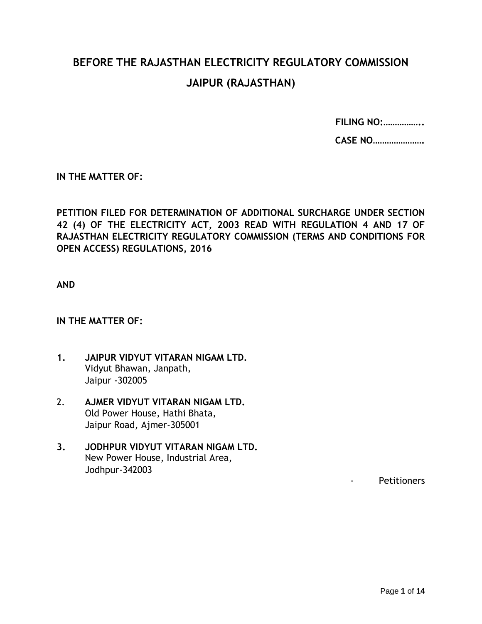# **BEFORE THE RAJASTHAN ELECTRICITY REGULATORY COMMISSION JAIPUR (RAJASTHAN)**

**FILING NO:……………..**

**CASE NO………………….**

**IN THE MATTER OF:**

**PETITION FILED FOR DETERMINATION OF ADDITIONAL SURCHARGE UNDER SECTION 42 (4) OF THE ELECTRICITY ACT, 2003 READ WITH REGULATION 4 AND 17 OF RAJASTHAN ELECTRICITY REGULATORY COMMISSION (TERMS AND CONDITIONS FOR OPEN ACCESS) REGULATIONS, 2016**

**AND**

#### **IN THE MATTER OF:**

- **1. JAIPUR VIDYUT VITARAN NIGAM LTD.** Vidyut Bhawan, Janpath, Jaipur -302005
- 2. **AJMER VIDYUT VITARAN NIGAM LTD.** Old Power House, Hathi Bhata, Jaipur Road, Ajmer-305001
- **3. JODHPUR VIDYUT VITARAN NIGAM LTD.** New Power House, Industrial Area, Jodhpur-342003

- Petitioners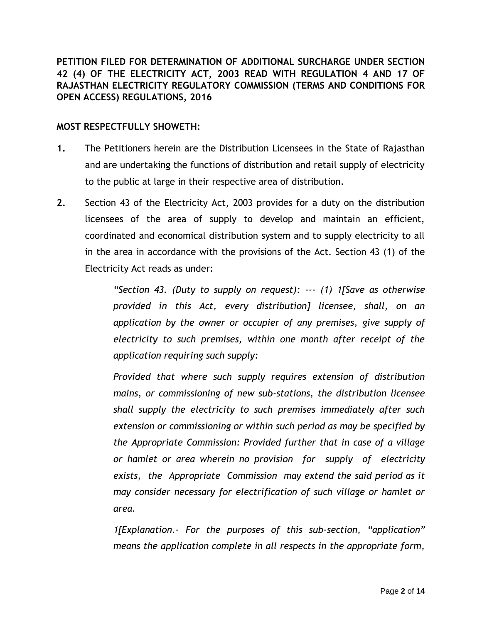**PETITION FILED FOR DETERMINATION OF ADDITIONAL SURCHARGE UNDER SECTION 42 (4) OF THE ELECTRICITY ACT, 2003 READ WITH REGULATION 4 AND 17 OF RAJASTHAN ELECTRICITY REGULATORY COMMISSION (TERMS AND CONDITIONS FOR OPEN ACCESS) REGULATIONS, 2016**

### **MOST RESPECTFULLY SHOWETH:**

- **1.** The Petitioners herein are the Distribution Licensees in the State of Rajasthan and are undertaking the functions of distribution and retail supply of electricity to the public at large in their respective area of distribution.
- **2.** Section 43 of the Electricity Act, 2003 provides for a duty on the distribution licensees of the area of supply to develop and maintain an efficient, coordinated and economical distribution system and to supply electricity to all in the area in accordance with the provisions of the Act. Section 43 (1) of the Electricity Act reads as under:

*"Section 43. (Duty to supply on request): --- (1) 1[Save as otherwise provided in this Act, every distribution] licensee, shall, on an application by the owner or occupier of any premises, give supply of electricity to such premises, within one month after receipt of the application requiring such supply:*

*Provided that where such supply requires extension of distribution mains, or commissioning of new sub-stations, the distribution licensee shall supply the electricity to such premises immediately after such extension or commissioning or within such period as may be specified by the Appropriate Commission: Provided further that in case of a village or hamlet or area wherein no provision for supply of electricity exists, the Appropriate Commission may extend the said period as it may consider necessary for electrification of such village or hamlet or area.*

*1[Explanation.- For the purposes of this sub-section, "application" means the application complete in all respects in the appropriate form,*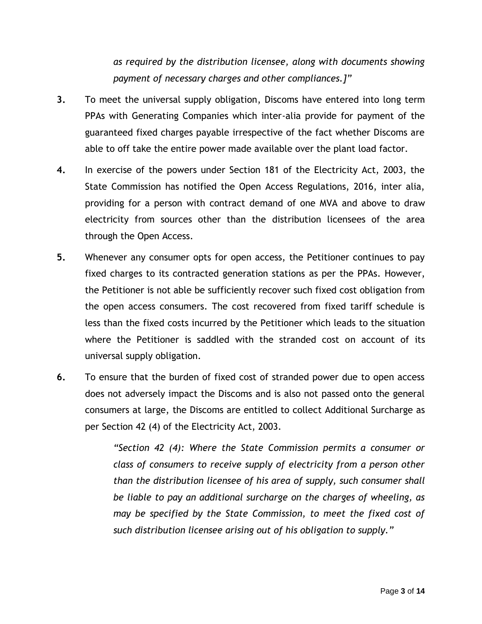*as required by the distribution licensee, along with documents showing payment of necessary charges and other compliances.]"*

- **3.** To meet the universal supply obligation, Discoms have entered into long term PPAs with Generating Companies which inter-alia provide for payment of the guaranteed fixed charges payable irrespective of the fact whether Discoms are able to off take the entire power made available over the plant load factor.
- **4.** In exercise of the powers under Section 181 of the Electricity Act, 2003, the State Commission has notified the Open Access Regulations, 2016, inter alia, providing for a person with contract demand of one MVA and above to draw electricity from sources other than the distribution licensees of the area through the Open Access.
- **5.** Whenever any consumer opts for open access, the Petitioner continues to pay fixed charges to its contracted generation stations as per the PPAs. However, the Petitioner is not able be sufficiently recover such fixed cost obligation from the open access consumers. The cost recovered from fixed tariff schedule is less than the fixed costs incurred by the Petitioner which leads to the situation where the Petitioner is saddled with the stranded cost on account of its universal supply obligation.
- **6.** To ensure that the burden of fixed cost of stranded power due to open access does not adversely impact the Discoms and is also not passed onto the general consumers at large, the Discoms are entitled to collect Additional Surcharge as per Section 42 (4) of the Electricity Act, 2003.

*"Section 42 (4): Where the State Commission permits a consumer or class of consumers to receive supply of electricity from a person other than the distribution licensee of his area of supply, such consumer shall be liable to pay an additional surcharge on the charges of wheeling, as may be specified by the State Commission, to meet the fixed cost of such distribution licensee arising out of his obligation to supply."*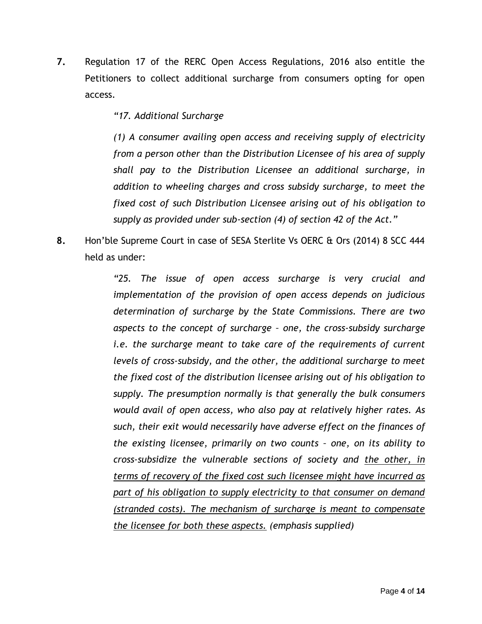**7.** Regulation 17 of the RERC Open Access Regulations, 2016 also entitle the Petitioners to collect additional surcharge from consumers opting for open access.

*"17. Additional Surcharge* 

*(1) A consumer availing open access and receiving supply of electricity from a person other than the Distribution Licensee of his area of supply shall pay to the Distribution Licensee an additional surcharge, in addition to wheeling charges and cross subsidy surcharge, to meet the fixed cost of such Distribution Licensee arising out of his obligation to supply as provided under sub-section (4) of section 42 of the Act."*

**8.** Hon'ble Supreme Court in case of SESA Sterlite Vs OERC & Ors (2014) 8 SCC 444 held as under:

> *"25. The issue of open access surcharge is very crucial and implementation of the provision of open access depends on judicious determination of surcharge by the State Commissions. There are two aspects to the concept of surcharge – one, the cross-subsidy surcharge i.e. the surcharge meant to take care of the requirements of current levels of cross-subsidy, and the other, the additional surcharge to meet the fixed cost of the distribution licensee arising out of his obligation to supply. The presumption normally is that generally the bulk consumers would avail of open access, who also pay at relatively higher rates. As such, their exit would necessarily have adverse effect on the finances of the existing licensee, primarily on two counts – one, on its ability to cross-subsidize the vulnerable sections of society and the other, in terms of recovery of the fixed cost such licensee might have incurred as part of his obligation to supply electricity to that consumer on demand (stranded costs). The mechanism of surcharge is meant to compensate the licensee for both these aspects. (emphasis supplied)*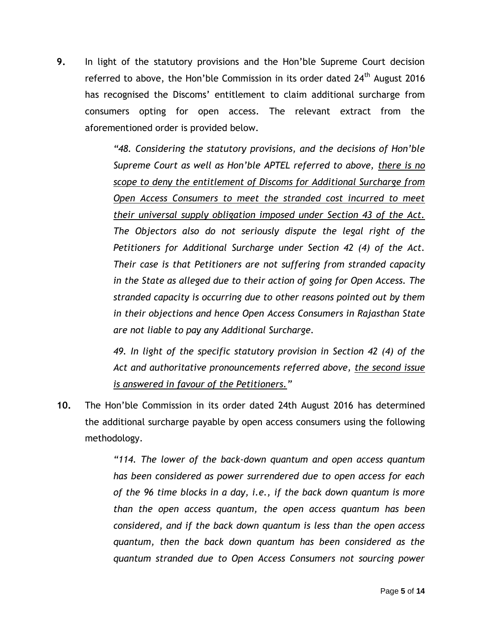**9.** In light of the statutory provisions and the Hon'ble Supreme Court decision referred to above, the Hon'ble Commission in its order dated 24<sup>th</sup> August 2016 has recognised the Discoms' entitlement to claim additional surcharge from consumers opting for open access. The relevant extract from the aforementioned order is provided below.

> *"48. Considering the statutory provisions, and the decisions of Hon'ble Supreme Court as well as Hon'ble APTEL referred to above, there is no scope to deny the entitlement of Discoms for Additional Surcharge from Open Access Consumers to meet the stranded cost incurred to meet their universal supply obligation imposed under Section 43 of the Act. The Objectors also do not seriously dispute the legal right of the Petitioners for Additional Surcharge under Section 42 (4) of the Act. Their case is that Petitioners are not suffering from stranded capacity in the State as alleged due to their action of going for Open Access. The stranded capacity is occurring due to other reasons pointed out by them in their objections and hence Open Access Consumers in Rajasthan State are not liable to pay any Additional Surcharge.*

> *49. In light of the specific statutory provision in Section 42 (4) of the Act and authoritative pronouncements referred above, the second issue is answered in favour of the Petitioners."*

**10.** The Hon'ble Commission in its order dated 24th August 2016 has determined the additional surcharge payable by open access consumers using the following methodology.

> *"114. The lower of the back-down quantum and open access quantum has been considered as power surrendered due to open access for each of the 96 time blocks in a day, i.e., if the back down quantum is more than the open access quantum, the open access quantum has been considered, and if the back down quantum is less than the open access quantum, then the back down quantum has been considered as the quantum stranded due to Open Access Consumers not sourcing power*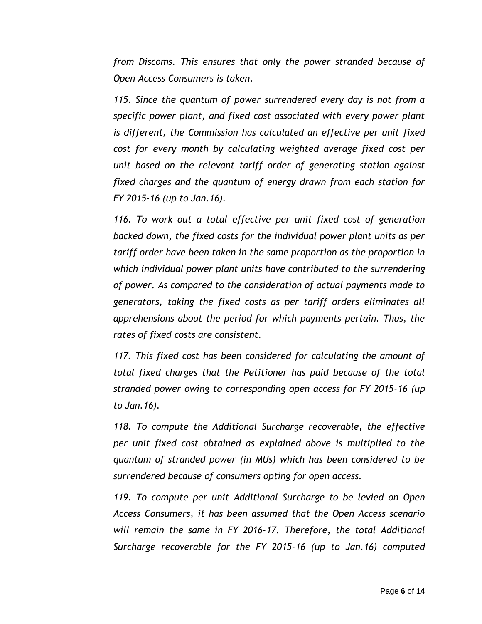*from Discoms. This ensures that only the power stranded because of Open Access Consumers is taken.*

*115. Since the quantum of power surrendered every day is not from a specific power plant, and fixed cost associated with every power plant is different, the Commission has calculated an effective per unit fixed cost for every month by calculating weighted average fixed cost per unit based on the relevant tariff order of generating station against fixed charges and the quantum of energy drawn from each station for FY 2015-16 (up to Jan.16).* 

*116. To work out a total effective per unit fixed cost of generation backed down, the fixed costs for the individual power plant units as per tariff order have been taken in the same proportion as the proportion in which individual power plant units have contributed to the surrendering of power. As compared to the consideration of actual payments made to generators, taking the fixed costs as per tariff orders eliminates all apprehensions about the period for which payments pertain. Thus, the rates of fixed costs are consistent.*

*117. This fixed cost has been considered for calculating the amount of total fixed charges that the Petitioner has paid because of the total stranded power owing to corresponding open access for FY 2015-16 (up to Jan.16).*

*118. To compute the Additional Surcharge recoverable, the effective per unit fixed cost obtained as explained above is multiplied to the quantum of stranded power (in MUs) which has been considered to be surrendered because of consumers opting for open access.*

*119. To compute per unit Additional Surcharge to be levied on Open Access Consumers, it has been assumed that the Open Access scenario will remain the same in FY 2016-17. Therefore, the total Additional Surcharge recoverable for the FY 2015-16 (up to Jan.16) computed*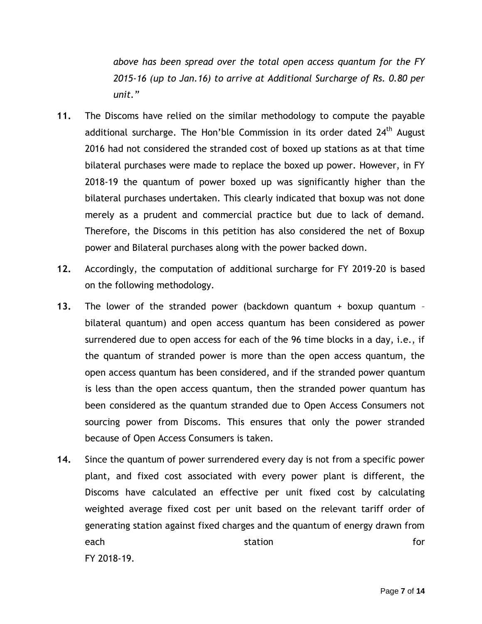*above has been spread over the total open access quantum for the FY 2015-16 (up to Jan.16) to arrive at Additional Surcharge of Rs. 0.80 per unit."*

- **11.** The Discoms have relied on the similar methodology to compute the payable additional surcharge. The Hon'ble Commission in its order dated 24<sup>th</sup> August 2016 had not considered the stranded cost of boxed up stations as at that time bilateral purchases were made to replace the boxed up power. However, in FY 2018-19 the quantum of power boxed up was significantly higher than the bilateral purchases undertaken. This clearly indicated that boxup was not done merely as a prudent and commercial practice but due to lack of demand. Therefore, the Discoms in this petition has also considered the net of Boxup power and Bilateral purchases along with the power backed down.
- **12.** Accordingly, the computation of additional surcharge for FY 2019-20 is based on the following methodology.
- **13.** The lower of the stranded power (backdown quantum + boxup quantum bilateral quantum) and open access quantum has been considered as power surrendered due to open access for each of the 96 time blocks in a day, i.e., if the quantum of stranded power is more than the open access quantum, the open access quantum has been considered, and if the stranded power quantum is less than the open access quantum, then the stranded power quantum has been considered as the quantum stranded due to Open Access Consumers not sourcing power from Discoms. This ensures that only the power stranded because of Open Access Consumers is taken.
- **14.** Since the quantum of power surrendered every day is not from a specific power plant, and fixed cost associated with every power plant is different, the Discoms have calculated an effective per unit fixed cost by calculating weighted average fixed cost per unit based on the relevant tariff order of generating station against fixed charges and the quantum of energy drawn from each and the station station for the station of  $\sim$ FY 2018-19.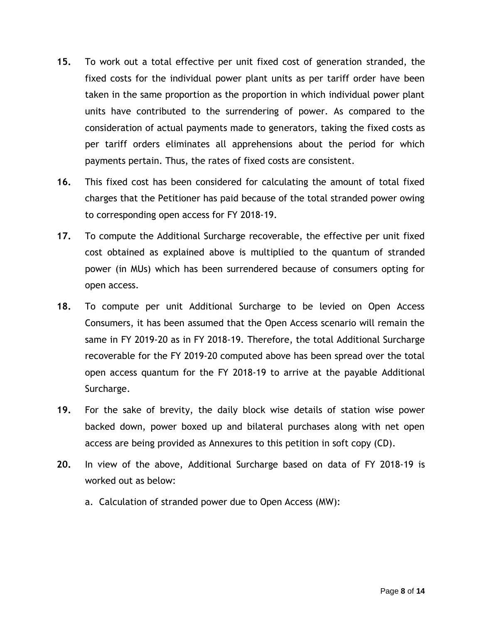- **15.** To work out a total effective per unit fixed cost of generation stranded, the fixed costs for the individual power plant units as per tariff order have been taken in the same proportion as the proportion in which individual power plant units have contributed to the surrendering of power. As compared to the consideration of actual payments made to generators, taking the fixed costs as per tariff orders eliminates all apprehensions about the period for which payments pertain. Thus, the rates of fixed costs are consistent.
- **16.** This fixed cost has been considered for calculating the amount of total fixed charges that the Petitioner has paid because of the total stranded power owing to corresponding open access for FY 2018-19.
- **17.** To compute the Additional Surcharge recoverable, the effective per unit fixed cost obtained as explained above is multiplied to the quantum of stranded power (in MUs) which has been surrendered because of consumers opting for open access.
- **18.** To compute per unit Additional Surcharge to be levied on Open Access Consumers, it has been assumed that the Open Access scenario will remain the same in FY 2019-20 as in FY 2018-19. Therefore, the total Additional Surcharge recoverable for the FY 2019-20 computed above has been spread over the total open access quantum for the FY 2018-19 to arrive at the payable Additional Surcharge.
- **19.** For the sake of brevity, the daily block wise details of station wise power backed down, power boxed up and bilateral purchases along with net open access are being provided as Annexures to this petition in soft copy (CD).
- **20.** In view of the above, Additional Surcharge based on data of FY 2018-19 is worked out as below:
	- a. Calculation of stranded power due to Open Access (MW):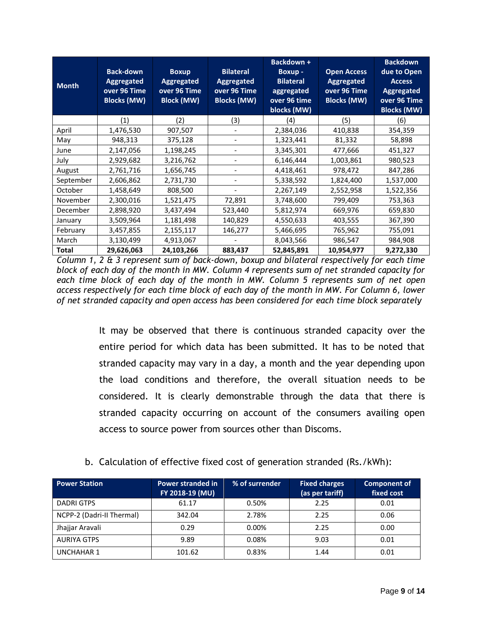| <b>Month</b> | <b>Back-down</b><br>Aggregated<br>over 96 Time<br><b>Blocks (MW)</b> | <b>Boxup</b><br><b>Aggregated</b><br>over 96 Time<br><b>Block (MW)</b> | <b>Bilateral</b><br><b>Aggregated</b><br>over 96 Time<br><b>Blocks (MW)</b> | Backdown +<br>Boxup -<br><b>Bilateral</b><br>aggregated<br>over 96 time<br>blocks (MW) | <b>Open Access</b><br>Aggregated<br>over 96 Time<br><b>Blocks (MW)</b> | <b>Backdown</b><br>due to Open<br><b>Access</b><br><b>Aggregated</b><br>over 96 Time<br><b>Blocks (MW)</b> |
|--------------|----------------------------------------------------------------------|------------------------------------------------------------------------|-----------------------------------------------------------------------------|----------------------------------------------------------------------------------------|------------------------------------------------------------------------|------------------------------------------------------------------------------------------------------------|
|              | (1)                                                                  | (2)                                                                    | (3)                                                                         | (4)                                                                                    | (5)                                                                    | (6)                                                                                                        |
| April        | 1,476,530                                                            | 907,507                                                                | $\overline{\phantom{a}}$                                                    | 2,384,036                                                                              | 410,838                                                                | 354,359                                                                                                    |
| May          | 948,313                                                              | 375,128                                                                |                                                                             | 1,323,441                                                                              | 81,332                                                                 | 58,898                                                                                                     |
| June         | 2,147,056                                                            | 1,198,245                                                              |                                                                             | 3,345,301                                                                              | 477,666                                                                | 451,327                                                                                                    |
| July         | 2,929,682                                                            | 3,216,762                                                              |                                                                             | 6,146,444                                                                              | 1,003,861                                                              | 980,523                                                                                                    |
| August       | 2,761,716                                                            | 1,656,745                                                              |                                                                             | 4,418,461                                                                              | 978,472                                                                | 847,286                                                                                                    |
| September    | 2,606,862                                                            | 2,731,730                                                              |                                                                             | 5,338,592                                                                              | 1,824,400                                                              | 1,537,000                                                                                                  |
| October      | 1,458,649                                                            | 808,500                                                                |                                                                             | 2,267,149                                                                              | 2,552,958                                                              | 1,522,356                                                                                                  |
| November     | 2,300,016                                                            | 1,521,475                                                              | 72,891                                                                      | 3,748,600                                                                              | 799,409                                                                | 753,363                                                                                                    |
| December     | 2,898,920                                                            | 3,437,494                                                              | 523,440                                                                     | 5,812,974                                                                              | 669,976                                                                | 659,830                                                                                                    |
| January      | 3,509,964                                                            | 1,181,498                                                              | 140,829                                                                     | 4,550,633                                                                              | 403,555                                                                | 367,390                                                                                                    |
| February     | 3,457,855                                                            | 2,155,117                                                              | 146,277                                                                     | 5,466,695                                                                              | 765,962                                                                | 755,091                                                                                                    |
| March        | 3,130,499                                                            | 4,913,067                                                              |                                                                             | 8,043,566                                                                              | 986,547                                                                | 984,908                                                                                                    |
| <b>Total</b> | 29,626,063                                                           | 24,103,266                                                             | 883,437                                                                     | 52,845,891                                                                             | 10,954,977                                                             | 9,272,330                                                                                                  |

*Column 1, 2 & 3 represent sum of back-down, boxup and bilateral respectively for each time block of each day of the month in MW. Column 4 represents sum of net stranded capacity for each time block of each day of the month in MW. Column 5 represents sum of net open access respectively for each time block of each day of the month in MW. For Column 6, lower of net stranded capacity and open access has been considered for each time block separately*

> It may be observed that there is continuous stranded capacity over the entire period for which data has been submitted. It has to be noted that stranded capacity may vary in a day, a month and the year depending upon the load conditions and therefore, the overall situation needs to be considered. It is clearly demonstrable through the data that there is stranded capacity occurring on account of the consumers availing open access to source power from sources other than Discoms.

## b. Calculation of effective fixed cost of generation stranded (Rs./kWh):

| <b>Power Station</b>      | <b>Power stranded in</b><br>FY 2018-19 (MU) | % of surrender | <b>Fixed charges</b><br>(as per tariff) | <b>Component of</b><br>fixed cost |
|---------------------------|---------------------------------------------|----------------|-----------------------------------------|-----------------------------------|
| DADRI GTPS                | 61.17                                       | 0.50%          | 2.25                                    | 0.01                              |
| NCPP-2 (Dadri-II Thermal) | 342.04                                      | 2.78%          | 2.25                                    | 0.06                              |
| Jhajjar Aravali           | 0.29                                        | 0.00%          | 2.25                                    | 0.00                              |
| <b>AURIYA GTPS</b>        | 9.89                                        | 0.08%          | 9.03                                    | 0.01                              |
| <b>UNCHAHAR1</b>          | 101.62                                      | 0.83%          | 1.44                                    | 0.01                              |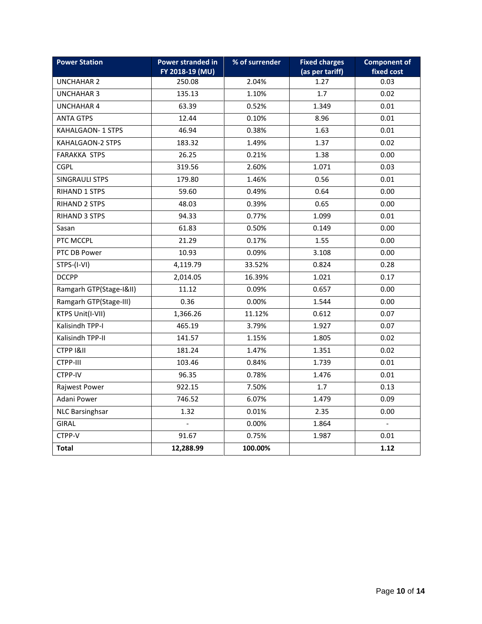| <b>Power Station</b>    | Power stranded in<br>FY 2018-19 (MU) | % of surrender | <b>Fixed charges</b><br>(as per tariff) | <b>Component of</b><br>fixed cost |  |
|-------------------------|--------------------------------------|----------------|-----------------------------------------|-----------------------------------|--|
| <b>UNCHAHAR 2</b>       | 250.08                               | 2.04%          | 1.27                                    | 0.03                              |  |
| <b>UNCHAHAR 3</b>       | 135.13                               | 1.10%          | 1.7                                     | 0.02                              |  |
| <b>UNCHAHAR 4</b>       | 63.39                                | 0.52%          | 1.349                                   | 0.01                              |  |
| <b>ANTA GTPS</b>        | 12.44                                | 0.10%          | 8.96                                    | 0.01                              |  |
| KAHALGAON-1 STPS        | 46.94                                | 0.38%          | 1.63                                    | 0.01                              |  |
| KAHALGAON-2 STPS        | 183.32                               | 1.49%          | 1.37                                    | 0.02                              |  |
| <b>FARAKKA STPS</b>     | 26.25                                | 0.21%          | 1.38                                    | 0.00                              |  |
| <b>CGPL</b>             | 319.56                               | 2.60%          | 1.071                                   | 0.03                              |  |
| <b>SINGRAULI STPS</b>   | 179.80                               | 1.46%          | 0.56                                    | 0.01                              |  |
| <b>RIHAND 1 STPS</b>    | 59.60                                | 0.49%          | 0.64                                    | 0.00                              |  |
| <b>RIHAND 2 STPS</b>    | 48.03                                | 0.39%          | 0.65                                    | 0.00                              |  |
| <b>RIHAND 3 STPS</b>    | 94.33                                | 0.77%          | 1.099                                   | 0.01                              |  |
| Sasan                   | 61.83                                | 0.50%          | 0.149                                   | 0.00                              |  |
| PTC MCCPL               | 21.29                                | 0.17%          | 1.55                                    | 0.00                              |  |
| PTC DB Power            | 10.93                                | 0.09%          | 3.108                                   | 0.00                              |  |
| STPS-(I-VI)             | 4,119.79                             | 33.52%         | 0.824                                   | 0.28                              |  |
| <b>DCCPP</b>            | 2,014.05                             | 16.39%         | 1.021                                   | 0.17                              |  |
| Ramgarh GTP(Stage-I&II) | 11.12                                | 0.09%          | 0.657                                   | 0.00                              |  |
| Ramgarh GTP(Stage-III)  | 0.36                                 | 0.00%          | 1.544                                   | 0.00                              |  |
| KTPS Unit(I-VII)        | 1,366.26                             | 11.12%         | 0.612                                   | 0.07                              |  |
| Kalisindh TPP-I         | 465.19                               | 3.79%          | 1.927                                   | 0.07                              |  |
| Kalisindh TPP-II        | 141.57                               | 1.15%          | 1.805                                   | 0.02                              |  |
| CTPP I&II               | 181.24                               | 1.47%          | 1.351                                   | 0.02                              |  |
| CTPP-III                | 103.46                               | 0.84%          | 1.739                                   | 0.01                              |  |
| CTPP-IV                 | 96.35                                | 0.78%          | 1.476                                   | 0.01                              |  |
| Rajwest Power           | 922.15                               | 7.50%          | 1.7                                     | 0.13                              |  |
| Adani Power             | 746.52                               | 6.07%          | 1.479                                   | 0.09                              |  |
| <b>NLC Barsinghsar</b>  | 1.32                                 | 0.01%          | 2.35                                    | 0.00                              |  |
| <b>GIRAL</b>            |                                      | 0.00%          | 1.864                                   |                                   |  |
| CTPP-V                  | 91.67                                | 0.75%          | 1.987                                   | 0.01                              |  |
| <b>Total</b>            | 12,288.99                            | 100.00%        |                                         | 1.12                              |  |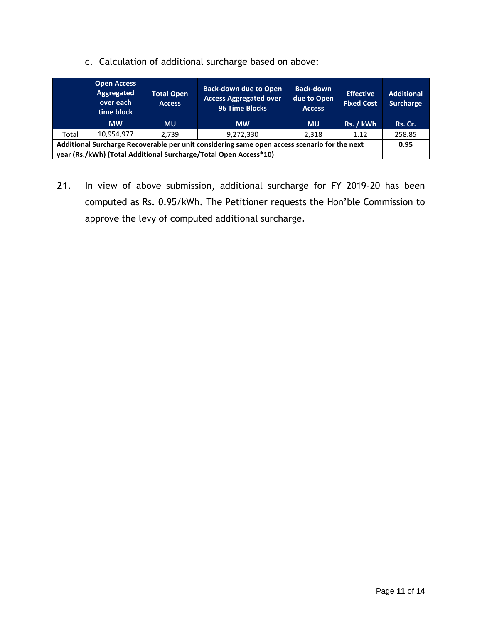c. Calculation of additional surcharge based on above:

|                                                                                              | <b>Open Access</b><br>Aggregated<br>over each<br>time block | <b>Total Open</b><br><b>Access</b> | <b>Back-down due to Open</b><br><b>Access Aggregated over</b><br><b>96 Time Blocks</b> | <b>Back-down</b><br>due to Open<br><b>Access</b> | <b>Effective</b><br><b>Fixed Cost</b> | <b>Additional</b><br><b>Surcharge</b> |
|----------------------------------------------------------------------------------------------|-------------------------------------------------------------|------------------------------------|----------------------------------------------------------------------------------------|--------------------------------------------------|---------------------------------------|---------------------------------------|
|                                                                                              | <b>MW</b>                                                   | <b>MU</b>                          | <b>MW</b>                                                                              | <b>MU</b>                                        | Rs. / kWh                             | Rs. Cr.                               |
| Total                                                                                        | 10,954,977                                                  | 2.739                              | 9,272,330                                                                              | 2,318                                            | 1.12                                  | 258.85                                |
| Additional Surcharge Recoverable per unit considering same open access scenario for the next |                                                             |                                    |                                                                                        |                                                  |                                       | 0.95                                  |
| year (Rs./kWh) (Total Additional Surcharge/Total Open Access*10)                             |                                                             |                                    |                                                                                        |                                                  |                                       |                                       |

**21.** In view of above submission, additional surcharge for FY 2019-20 has been computed as Rs. 0.95/kWh. The Petitioner requests the Hon'ble Commission to approve the levy of computed additional surcharge.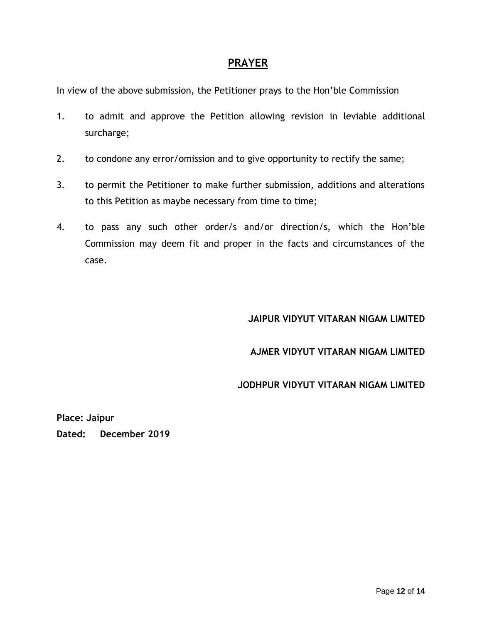## **PRAYER**

In view of the above submission, the Petitioner prays to the Hon'ble Commission

- 1. to admit and approve the Petition allowing revision in leviable additional surcharge;
- 2. to condone any error/omission and to give opportunity to rectify the same;
- 3. to permit the Petitioner to make further submission, additions and alterations to this Petition as maybe necessary from time to time;
- 4. to pass any such other order/s and/or direction/s, which the Hon'ble Commission may deem fit and proper in the facts and circumstances of the case.

## **JAIPUR VIDYUT VITARAN NIGAM LIMITED**

#### **AJMER VIDYUT VITARAN NIGAM LIMITED**

#### **JODHPUR VIDYUT VITARAN NIGAM LIMITED**

**Place: Jaipur Dated: December 2019**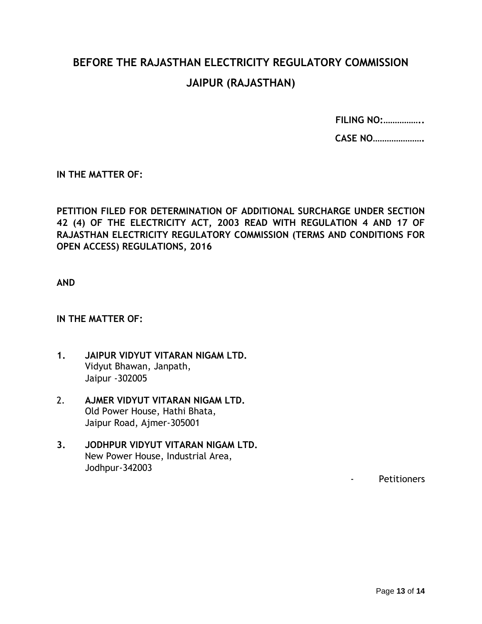# **BEFORE THE RAJASTHAN ELECTRICITY REGULATORY COMMISSION JAIPUR (RAJASTHAN)**

**FILING NO:……………..**

**CASE NO………………….**

**IN THE MATTER OF:**

**PETITION FILED FOR DETERMINATION OF ADDITIONAL SURCHARGE UNDER SECTION 42 (4) OF THE ELECTRICITY ACT, 2003 READ WITH REGULATION 4 AND 17 OF RAJASTHAN ELECTRICITY REGULATORY COMMISSION (TERMS AND CONDITIONS FOR OPEN ACCESS) REGULATIONS, 2016**

**AND**

#### **IN THE MATTER OF:**

- **1. JAIPUR VIDYUT VITARAN NIGAM LTD.** Vidyut Bhawan, Janpath, Jaipur -302005
- 2. **AJMER VIDYUT VITARAN NIGAM LTD.** Old Power House, Hathi Bhata, Jaipur Road, Ajmer-305001
- **3. JODHPUR VIDYUT VITARAN NIGAM LTD.** New Power House, Industrial Area, Jodhpur-342003

- Petitioners